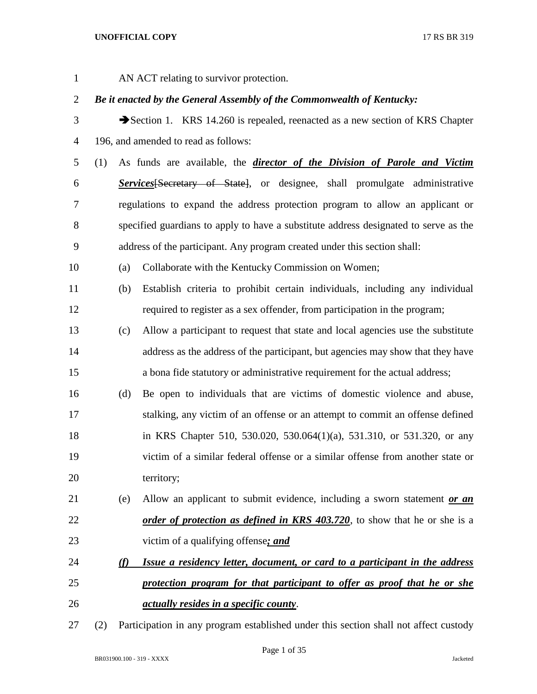AN ACT relating to survivor protection.

# *Be it enacted by the General Assembly of the Commonwealth of Kentucky:*

- 3 Section 1. KRS 14.260 is repealed, reenacted as a new section of KRS Chapter 196, and amended to read as follows:
- (1) As funds are available, the *director of the Division of Parole and Victim Services*[Secretary of State], or designee, shall promulgate administrative regulations to expand the address protection program to allow an applicant or specified guardians to apply to have a substitute address designated to serve as the address of the participant. Any program created under this section shall:

(a) Collaborate with the Kentucky Commission on Women;

- (b) Establish criteria to prohibit certain individuals, including any individual required to register as a sex offender, from participation in the program;
- (c) Allow a participant to request that state and local agencies use the substitute address as the address of the participant, but agencies may show that they have a bona fide statutory or administrative requirement for the actual address;
- (d) Be open to individuals that are victims of domestic violence and abuse, stalking, any victim of an offense or an attempt to commit an offense defined in KRS Chapter 510, 530.020, 530.064(1)(a), 531.310, or 531.320, or any victim of a similar federal offense or a similar offense from another state or 20 territory;
- (e) Allow an applicant to submit evidence, including a sworn statement *or an order of protection as defined in KRS 403.720***, to show that he or she is a** victim of a qualifying offense*; and*

# *(f) Issue a residency letter, document, or card to a participant in the address protection program for that participant to offer as proof that he or she actually resides in a specific county*.

(2) Participation in any program established under this section shall not affect custody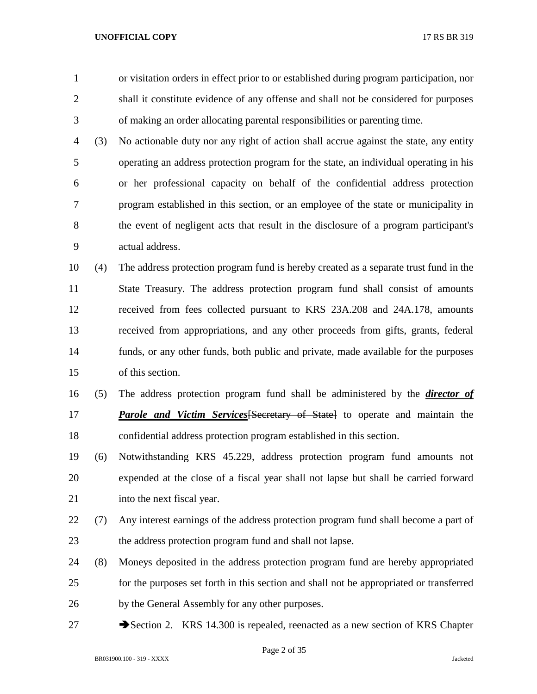- or visitation orders in effect prior to or established during program participation, nor shall it constitute evidence of any offense and shall not be considered for purposes of making an order allocating parental responsibilities or parenting time.
- (3) No actionable duty nor any right of action shall accrue against the state, any entity operating an address protection program for the state, an individual operating in his or her professional capacity on behalf of the confidential address protection program established in this section, or an employee of the state or municipality in the event of negligent acts that result in the disclosure of a program participant's actual address.
- (4) The address protection program fund is hereby created as a separate trust fund in the State Treasury. The address protection program fund shall consist of amounts received from fees collected pursuant to KRS 23A.208 and 24A.178, amounts received from appropriations, and any other proceeds from gifts, grants, federal funds, or any other funds, both public and private, made available for the purposes of this section.
- (5) The address protection program fund shall be administered by the *director of Parole and Victim Services*[Secretary of State] to operate and maintain the confidential address protection program established in this section.
- (6) Notwithstanding KRS 45.229, address protection program fund amounts not expended at the close of a fiscal year shall not lapse but shall be carried forward 21 into the next fiscal year.
- (7) Any interest earnings of the address protection program fund shall become a part of the address protection program fund and shall not lapse.
- (8) Moneys deposited in the address protection program fund are hereby appropriated for the purposes set forth in this section and shall not be appropriated or transferred by the General Assembly for any other purposes.
- 27 Section 2. KRS 14.300 is repealed, reenacted as a new section of KRS Chapter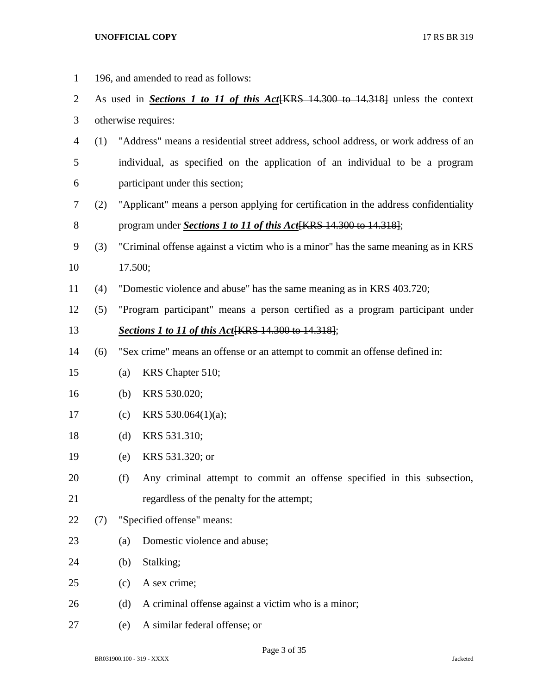196, and amended to read as follows: As used in *Sections 1 to 11 of this Act*[KRS 14.300 to 14.318] unless the context otherwise requires: (1) "Address" means a residential street address, school address, or work address of an individual, as specified on the application of an individual to be a program participant under this section; (2) "Applicant" means a person applying for certification in the address confidentiality program under *Sections 1 to 11 of this Act*[KRS 14.300 to 14.318]; (3) "Criminal offense against a victim who is a minor" has the same meaning as in KRS 17.500; (4) "Domestic violence and abuse" has the same meaning as in KRS 403.720; (5) "Program participant" means a person certified as a program participant under *Sections 1 to 11 of this Act*[KRS 14.300 to 14.318]; (6) "Sex crime" means an offense or an attempt to commit an offense defined in: (a) KRS Chapter 510; (b) KRS 530.020; (c) KRS 530.064(1)(a); (d) KRS 531.310; (e) KRS 531.320; or (f) Any criminal attempt to commit an offense specified in this subsection, regardless of the penalty for the attempt; (7) "Specified offense" means: 23 (a) Domestic violence and abuse; (b) Stalking; (c) A sex crime; 26 (d) A criminal offense against a victim who is a minor; (e) A similar federal offense; or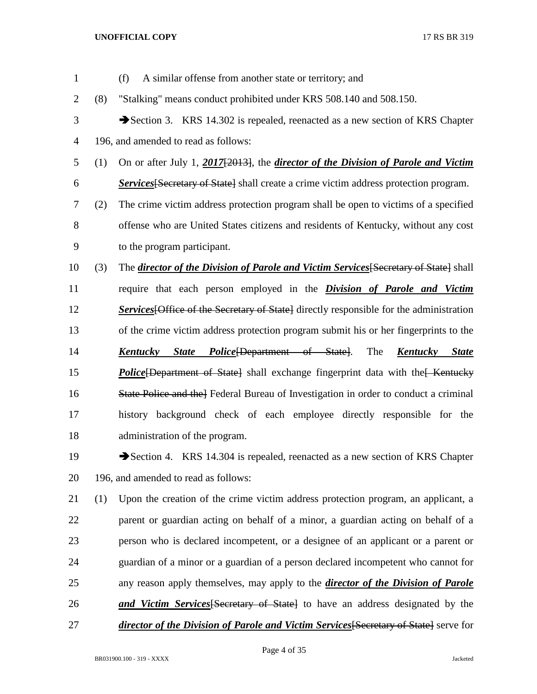| $\mathbf{1}$   |     | (f)<br>A similar offense from another state or territory; and                                  |
|----------------|-----|------------------------------------------------------------------------------------------------|
| $\overline{2}$ | (8) | "Stalking" means conduct prohibited under KRS 508.140 and 508.150.                             |
| 3              |     | Section 3. KRS 14.302 is repealed, reenacted as a new section of KRS Chapter                   |
| 4              |     | 196, and amended to read as follows:                                                           |
| 5              | (1) | On or after July 1, 2017[2013], the <i>director of the Division of Parole and Victim</i>       |
| 6              |     | <b>Services</b> Secretary of State shall create a crime victim address protection program.     |
| 7              | (2) | The crime victim address protection program shall be open to victims of a specified            |
| 8              |     | offense who are United States citizens and residents of Kentucky, without any cost             |
| 9              |     | to the program participant.                                                                    |
| 10             | (3) | The director of the Division of Parole and Victim Services [Secretary of State] shall          |
| 11             |     | require that each person employed in the <i>Division of Parole and Victim</i>                  |
| 12             |     | <b>Services</b> [Office of the Secretary of State] directly responsible for the administration |
| 13             |     | of the crime victim address protection program submit his or her fingerprints to the           |
| 14             |     | The<br>Kentucky<br><i>State Police (Department of State)</i> .<br>St <u>ate</u><br>Kentucky    |
| 15             |     | <b>Police</b> [Department of State] shall exchange fingerprint data with the Kentucky          |
| 16             |     | State Police and the Federal Bureau of Investigation in order to conduct a criminal            |
| 17             |     | history background check of each employee directly responsible for the                         |
| 18             |     | administration of the program.                                                                 |
| 19             |     | Section 4. KRS 14.304 is repealed, reenacted as a new section of KRS Chapter                   |
| 20             |     | 196, and amended to read as follows:                                                           |
| 21             | (1) | Upon the creation of the crime victim address protection program, an applicant, a              |
| 22             |     | parent or guardian acting on behalf of a minor, a guardian acting on behalf of a               |
| 23             |     | person who is declared incompetent, or a designee of an applicant or a parent or               |
| 24             |     | guardian of a minor or a guardian of a person declared incompetent who cannot for              |
| 25             |     | any reason apply themselves, may apply to the <i>director of the Division of Parole</i>        |
| 26             |     | <b>and Victim Services</b> Secretary of State to have an address designated by the             |
| 27             |     | <i>director of the Division of Parole and Victim Services</i> [Secretary of State] serve for   |
|                |     |                                                                                                |

Page 4 of 35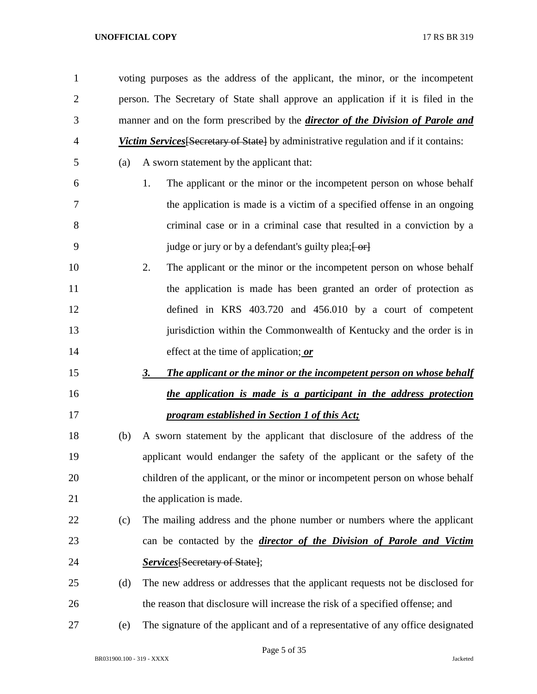voting purposes as the address of the applicant, the minor, or the incompetent person. The Secretary of State shall approve an application if it is filed in the manner and on the form prescribed by the *director of the Division of Parole and Victim Services*[Secretary of State] by administrative regulation and if it contains:

(a) A sworn statement by the applicant that:

- 1. The applicant or the minor or the incompetent person on whose behalf the application is made is a victim of a specified offense in an ongoing criminal case or in a criminal case that resulted in a conviction by a 9 judge or jury or by a defendant's guilty plea;  $\left\{\text{or}\right\}$
- 2. The applicant or the minor or the incompetent person on whose behalf 11 the application is made has been granted an order of protection as defined in KRS 403.720 and 456.010 by a court of competent 13 jurisdiction within the Commonwealth of Kentucky and the order is in effect at the time of application; *or*
- *3. The applicant or the minor or the incompetent person on whose behalf the application is made is a participant in the address protection program established in Section 1 of this Act;*
- (b) A sworn statement by the applicant that disclosure of the address of the applicant would endanger the safety of the applicant or the safety of the children of the applicant, or the minor or incompetent person on whose behalf 21 the application is made.
- (c) The mailing address and the phone number or numbers where the applicant can be contacted by the *director of the Division of Parole and Victim Services*[Secretary of State];
- (d) The new address or addresses that the applicant requests not be disclosed for the reason that disclosure will increase the risk of a specified offense; and
- (e) The signature of the applicant and of a representative of any office designated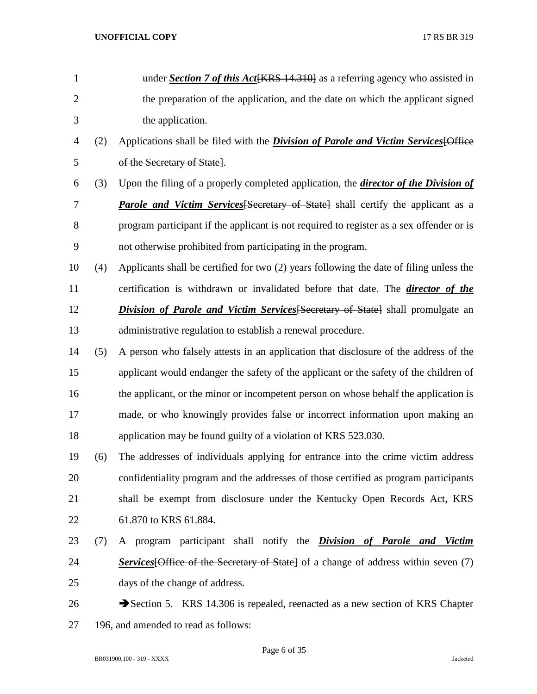| $\mathbf{1}$   |     | under Section 7 of this Act [KRS 14.310] as a referring agency who assisted in              |
|----------------|-----|---------------------------------------------------------------------------------------------|
| $\overline{2}$ |     | the preparation of the application, and the date on which the applicant signed              |
| 3              |     | the application.                                                                            |
| 4              | (2) | Applications shall be filed with the <i>Division of Parole and Victim Services</i> [Office  |
| 5              |     | of the Secretary of State].                                                                 |
| 6              | (3) | Upon the filing of a properly completed application, the <i>director of the Division of</i> |
| 7              |     | <b>Parole and Victim Services</b> [Secretary of State] shall certify the applicant as a     |
| 8              |     | program participant if the applicant is not required to register as a sex offender or is    |
| 9              |     | not otherwise prohibited from participating in the program.                                 |
| 10             | (4) | Applicants shall be certified for two (2) years following the date of filing unless the     |
| 11             |     | certification is withdrawn or invalidated before that date. The <i>director of the</i>      |
| 12             |     | <b>Division of Parole and Victim Services</b> [Secretary of State] shall promulgate an      |
| 13             |     | administrative regulation to establish a renewal procedure.                                 |
| 14             | (5) | A person who falsely attests in an application that disclosure of the address of the        |
| 15             |     | applicant would endanger the safety of the applicant or the safety of the children of       |
| 16             |     | the applicant, or the minor or incompetent person on whose behalf the application is        |
| 17             |     | made, or who knowingly provides false or incorrect information upon making an               |
| 18             |     | application may be found guilty of a violation of KRS 523.030.                              |
| 19             | (6) | The addresses of individuals applying for entrance into the crime victim address            |
| 20             |     | confidentiality program and the addresses of those certified as program participants        |
| 21             |     | shall be exempt from disclosure under the Kentucky Open Records Act, KRS                    |
| 22             |     | 61.870 to KRS 61.884.                                                                       |
| 23             | (7) | A program participant shall notify the <i>Division of Parole and Victim</i>                 |
| 24             |     | <b>Services</b> [Office of the Secretary of State] of a change of address within seven (7)  |
| 25             |     | days of the change of address.                                                              |
| 26             |     | Section 5. KRS 14.306 is repealed, reenacted as a new section of KRS Chapter                |
| 27             |     | 196, and amended to read as follows:                                                        |

Page 6 of 35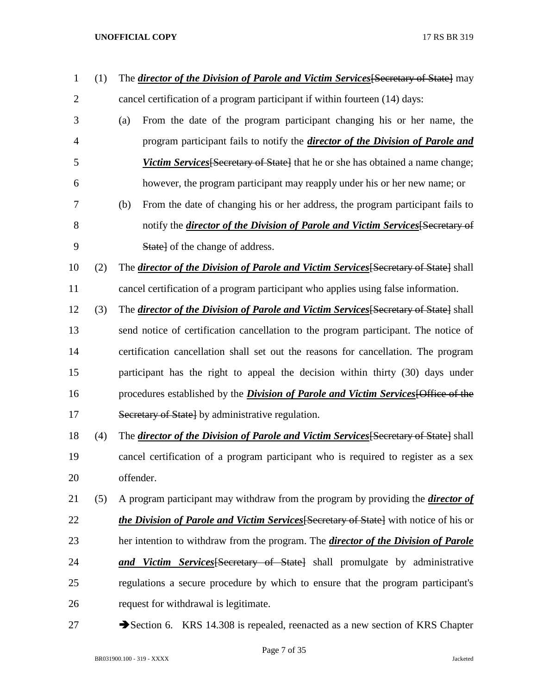| $\mathbf 1$    | (1) | The <i>director of the Division of Parole and Victim Services</i> [Secretary of State] may   |
|----------------|-----|----------------------------------------------------------------------------------------------|
| $\overline{2}$ |     | cancel certification of a program participant if within fourteen (14) days:                  |
| 3              |     | From the date of the program participant changing his or her name, the<br>(a)                |
| 4              |     | program participant fails to notify the <i>director of the Division of Parole and</i>        |
| 5              |     | <i>Victim Services</i> [Secretary of State] that he or she has obtained a name change;       |
| 6              |     | however, the program participant may reapply under his or her new name; or                   |
| 7              |     | From the date of changing his or her address, the program participant fails to<br>(b)        |
| 8              |     | notify the <i>director of the Division of Parole and Victim Services</i> [Secretary of       |
| 9              |     | <b>State</b> of the change of address.                                                       |
| 10             | (2) | The <i>director of the Division of Parole and Victim Services</i> [Secretary of State] shall |
| 11             |     | cancel certification of a program participant who applies using false information.           |
| 12             | (3) | The director of the Division of Parole and Victim Services Secretary of State Shall          |
| 13             |     | send notice of certification cancellation to the program participant. The notice of          |
| 14             |     | certification cancellation shall set out the reasons for cancellation. The program           |
| 15             |     | participant has the right to appeal the decision within thirty (30) days under               |
| 16             |     | procedures established by the <i>Division of Parole and Victim Services</i> [Office of the   |
| 17             |     | Secretary of State by administrative regulation.                                             |
| 18             | (4) | The <i>director of the Division of Parole and Victim Services</i> [Secretary of State] shall |
| 19             |     | cancel certification of a program participant who is required to register as a sex           |
| 20             |     | offender.                                                                                    |
| 21             | (5) | A program participant may withdraw from the program by providing the <i>director of</i>      |
| 22             |     | <i>the Division of Parole and Victim Services Secretary of State</i> with notice of his or   |
| 23             |     | her intention to withdraw from the program. The <i>director of the Division of Parole</i>    |
| 24             |     | and Victim Services [Secretary of State] shall promulgate by administrative                  |
| 25             |     | regulations a secure procedure by which to ensure that the program participant's             |
| 26             |     | request for withdrawal is legitimate.                                                        |
| 27             |     | Section 6. KRS 14.308 is repealed, reenacted as a new section of KRS Chapter                 |

Page 7 of 35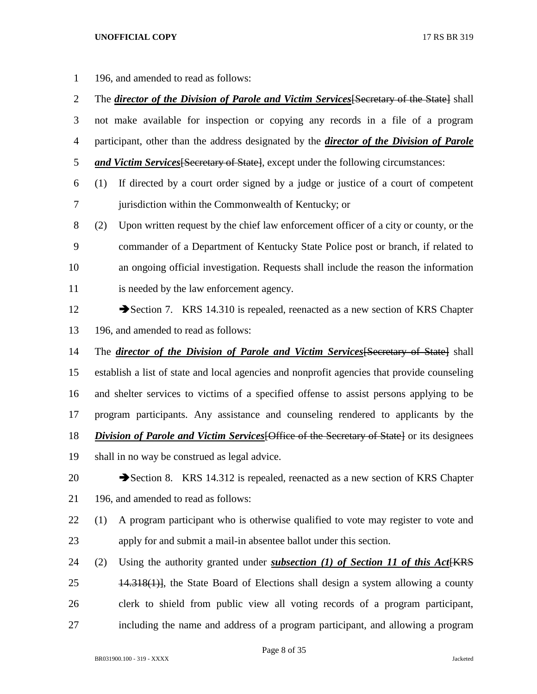196, and amended to read as follows:

 The *director of the Division of Parole and Victim Services*[Secretary of the State] shall not make available for inspection or copying any records in a file of a program participant, other than the address designated by the *director of the Division of Parole and Victim Services*[Secretary of State], except under the following circumstances: (1) If directed by a court order signed by a judge or justice of a court of competent jurisdiction within the Commonwealth of Kentucky; or (2) Upon written request by the chief law enforcement officer of a city or county, or the commander of a Department of Kentucky State Police post or branch, if related to an ongoing official investigation. Requests shall include the reason the information is needed by the law enforcement agency. 12 Section 7. KRS 14.310 is repealed, reenacted as a new section of KRS Chapter 196, and amended to read as follows: The *director of the Division of Parole and Victim Services*[Secretary of State] shall establish a list of state and local agencies and nonprofit agencies that provide counseling and shelter services to victims of a specified offense to assist persons applying to be program participants. Any assistance and counseling rendered to applicants by the *Division of Parole and Victim Services* [Office of the Secretary of State] or its designees shall in no way be construed as legal advice. 20 Section 8. KRS 14.312 is repealed, reenacted as a new section of KRS Chapter 196, and amended to read as follows: (1) A program participant who is otherwise qualified to vote may register to vote and apply for and submit a mail-in absentee ballot under this section. (2) Using the authority granted under *subsection (1) of Section 11 of this Act*[KRS 14.318(1)], the State Board of Elections shall design a system allowing a county clerk to shield from public view all voting records of a program participant, including the name and address of a program participant, and allowing a program

Page 8 of 35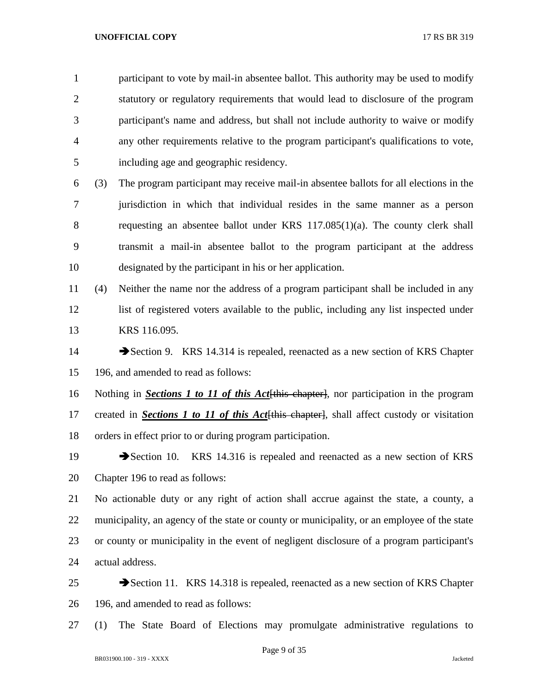participant to vote by mail-in absentee ballot. This authority may be used to modify statutory or regulatory requirements that would lead to disclosure of the program participant's name and address, but shall not include authority to waive or modify any other requirements relative to the program participant's qualifications to vote, including age and geographic residency.

 (3) The program participant may receive mail-in absentee ballots for all elections in the jurisdiction in which that individual resides in the same manner as a person requesting an absentee ballot under KRS 117.085(1)(a). The county clerk shall transmit a mail-in absentee ballot to the program participant at the address designated by the participant in his or her application.

- (4) Neither the name nor the address of a program participant shall be included in any list of registered voters available to the public, including any list inspected under KRS 116.095.
- 14 Section 9. KRS 14.314 is repealed, reenacted as a new section of KRS Chapter 196, and amended to read as follows:

 Nothing in *Sections 1 to 11 of this Act*[this chapter], nor participation in the program created in *Sections 1 to 11 of this Act*[this chapter], shall affect custody or visitation orders in effect prior to or during program participation.

19 Section 10. KRS 14.316 is repealed and reenacted as a new section of KRS Chapter 196 to read as follows:

 No actionable duty or any right of action shall accrue against the state, a county, a municipality, an agency of the state or county or municipality, or an employee of the state or county or municipality in the event of negligent disclosure of a program participant's actual address.

- 25 Section 11. KRS 14.318 is repealed, reenacted as a new section of KRS Chapter 196, and amended to read as follows:
- (1) The State Board of Elections may promulgate administrative regulations to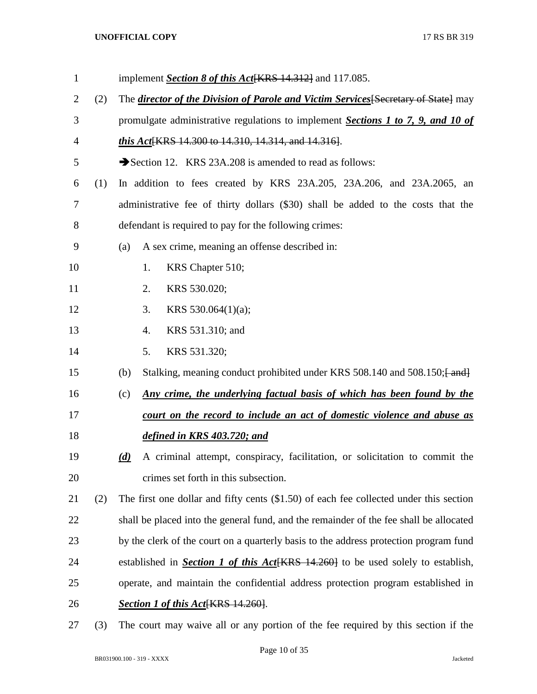| $\mathbf{1}$   |     | implement Section 8 of this Act [KRS 14.312] and 117.085.                                  |
|----------------|-----|--------------------------------------------------------------------------------------------|
| $\overline{2}$ | (2) | The <i>director of the Division of Parole and Victim Services</i> [Secretary of State] may |
| 3              |     | promulgate administrative regulations to implement Sections 1 to 7, 9, and 10 of           |
| $\overline{4}$ |     | <i>this Act</i> [KRS 14.300 to 14.310, 14.314, and 14.316].                                |
| 5              |     | Section 12. KRS 23A.208 is amended to read as follows:                                     |
| 6              | (1) | In addition to fees created by KRS 23A.205, 23A.206, and 23A.2065, an                      |
| 7              |     | administrative fee of thirty dollars (\$30) shall be added to the costs that the           |
| 8              |     | defendant is required to pay for the following crimes:                                     |
| 9              |     | A sex crime, meaning an offense described in:<br>(a)                                       |
| 10             |     | 1.<br>KRS Chapter 510;                                                                     |
| 11             |     | KRS 530.020;<br>2.                                                                         |
| 12             |     | KRS 530.064 $(1)(a)$ ;<br>3.                                                               |
| 13             |     | KRS 531.310; and<br>4.                                                                     |
| 14             |     | 5.<br>KRS 531.320;                                                                         |
| 15             |     | Stalking, meaning conduct prohibited under KRS 508.140 and 508.150; [and]<br>(b)           |
| 16             |     | Any crime, the underlying factual basis of which has been found by the<br>(c)              |
| 17             |     | court on the record to include an act of domestic violence and abuse as                    |
| 18             |     | defined in KRS 403.720; and                                                                |
| 19             |     | A criminal attempt, conspiracy, facilitation, or solicitation to commit the<br>(d)         |
| 20             |     | crimes set forth in this subsection.                                                       |
| 21             | (2) | The first one dollar and fifty cents $(\$1.50)$ of each fee collected under this section   |
| 22             |     | shall be placed into the general fund, and the remainder of the fee shall be allocated     |
| 23             |     | by the clerk of the court on a quarterly basis to the address protection program fund      |
| 24             |     | established in Section 1 of this Act [KRS 14.260] to be used solely to establish,          |
| 25             |     | operate, and maintain the confidential address protection program established in           |
| 26             |     | <b>Section 1 of this Act</b> KRS 14.260.                                                   |
| 27             | (3) | The court may waive all or any portion of the fee required by this section if the          |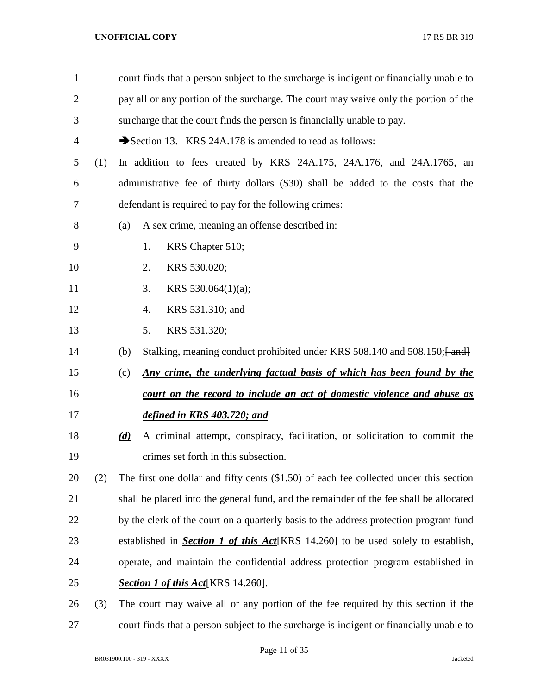| 1              |     |     | court finds that a person subject to the surcharge is indigent or financially unable to  |
|----------------|-----|-----|------------------------------------------------------------------------------------------|
| $\overline{2}$ |     |     | pay all or any portion of the surcharge. The court may waive only the portion of the     |
| 3              |     |     | surcharge that the court finds the person is financially unable to pay.                  |
| 4              |     |     | Section 13. KRS 24A.178 is amended to read as follows:                                   |
| 5              | (1) |     | In addition to fees created by KRS 24A.175, 24A.176, and 24A.1765, an                    |
| 6              |     |     | administrative fee of thirty dollars (\$30) shall be added to the costs that the         |
| 7              |     |     | defendant is required to pay for the following crimes:                                   |
| 8              |     | (a) | A sex crime, meaning an offense described in:                                            |
| 9              |     |     | 1.<br>KRS Chapter 510;                                                                   |
| 10             |     |     | KRS 530.020;<br>2.                                                                       |
| 11             |     |     | 3.<br>KRS 530.064 $(1)(a)$ ;                                                             |
| 12             |     |     | KRS 531.310; and<br>4.                                                                   |
| 13             |     |     | 5.<br>KRS 531.320;                                                                       |
| 14             |     | (b) | Stalking, meaning conduct prohibited under KRS 508.140 and 508.150; [and]                |
| 15             |     | (c) | Any crime, the underlying factual basis of which has been found by the                   |
| 16             |     |     | court on the record to include an act of domestic violence and abuse as                  |
| 17             |     |     | defined in KRS 403.720; and                                                              |
| 18             |     | (d) | A criminal attempt, conspiracy, facilitation, or solicitation to commit the              |
| 19             |     |     | crimes set forth in this subsection.                                                     |
| 20             | (2) |     | The first one dollar and fifty cents $(\$1.50)$ of each fee collected under this section |
| 21             |     |     | shall be placed into the general fund, and the remainder of the fee shall be allocated   |
| 22             |     |     | by the clerk of the court on a quarterly basis to the address protection program fund    |
| 23             |     |     | established in <b>Section 1 of this Act</b> [KRS 14.260] to be used solely to establish, |
| 24             |     |     | operate, and maintain the confidential address protection program established in         |
| 25             |     |     | Section 1 of this Act[KRS 14.260].                                                       |
| 26             | (3) |     | The court may waive all or any portion of the fee required by this section if the        |
| 27             |     |     | court finds that a person subject to the surcharge is indigent or financially unable to  |

Page 11 of 35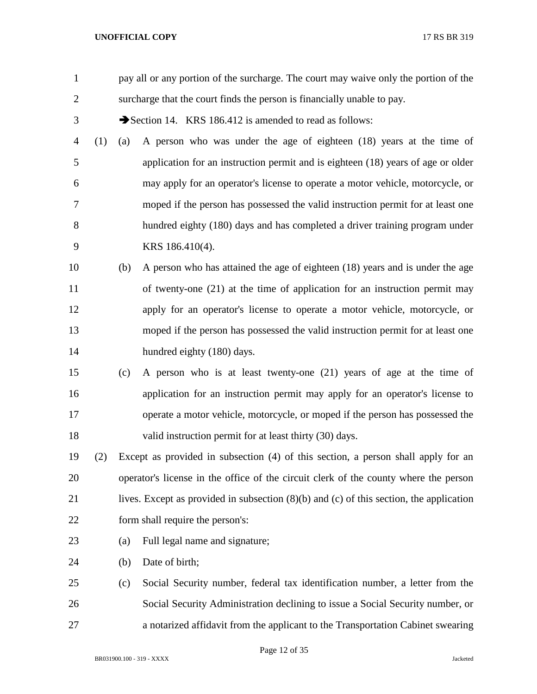| $\mathbf{1}$   |     |     | pay all or any portion of the surcharge. The court may waive only the portion of the        |
|----------------|-----|-----|---------------------------------------------------------------------------------------------|
| $\overline{2}$ |     |     | surcharge that the court finds the person is financially unable to pay.                     |
| 3              |     |     | Section 14. KRS 186.412 is amended to read as follows:                                      |
| 4              | (1) | (a) | A person who was under the age of eighteen (18) years at the time of                        |
| 5              |     |     | application for an instruction permit and is eighteen (18) years of age or older            |
| 6              |     |     | may apply for an operator's license to operate a motor vehicle, motorcycle, or              |
| 7              |     |     | moped if the person has possessed the valid instruction permit for at least one             |
| 8              |     |     | hundred eighty (180) days and has completed a driver training program under                 |
| 9              |     |     | KRS 186.410(4).                                                                             |
| 10             |     | (b) | A person who has attained the age of eighteen (18) years and is under the age               |
| 11             |     |     | of twenty-one (21) at the time of application for an instruction permit may                 |
| 12             |     |     | apply for an operator's license to operate a motor vehicle, motorcycle, or                  |
| 13             |     |     | moped if the person has possessed the valid instruction permit for at least one             |
| 14             |     |     | hundred eighty (180) days.                                                                  |
| 15             |     | (c) | A person who is at least twenty-one (21) years of age at the time of                        |
| 16             |     |     | application for an instruction permit may apply for an operator's license to                |
| 17             |     |     | operate a motor vehicle, motorcycle, or moped if the person has possessed the               |
| 18             |     |     | valid instruction permit for at least thirty (30) days.                                     |
| 19             | (2) |     | Except as provided in subsection (4) of this section, a person shall apply for an           |
| 20             |     |     | operator's license in the office of the circuit clerk of the county where the person        |
| 21             |     |     | lives. Except as provided in subsection $(8)(b)$ and $(c)$ of this section, the application |
| 22             |     |     | form shall require the person's:                                                            |
| 23             |     | (a) | Full legal name and signature;                                                              |
| 24             |     | (b) | Date of birth;                                                                              |
| 25             |     | (c) | Social Security number, federal tax identification number, a letter from the                |
| 26             |     |     | Social Security Administration declining to issue a Social Security number, or              |
| 27             |     |     | a notarized affidavit from the applicant to the Transportation Cabinet swearing             |

Page 12 of 35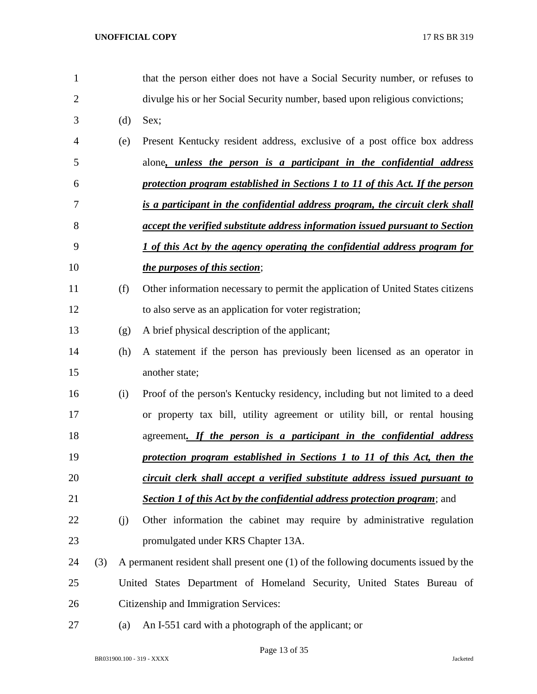| 1              |     |     | that the person either does not have a Social Security number, or refuses to        |
|----------------|-----|-----|-------------------------------------------------------------------------------------|
| $\overline{2}$ |     |     | divulge his or her Social Security number, based upon religious convictions;        |
| 3              |     | (d) | Sex;                                                                                |
| 4              |     | (e) | Present Kentucky resident address, exclusive of a post office box address           |
| 5              |     |     | alone, unless the person is a participant in the confidential address               |
| 6              |     |     | protection program established in Sections 1 to 11 of this Act. If the person       |
| 7              |     |     | is a participant in the confidential address program, the circuit clerk shall       |
| 8              |     |     | accept the verified substitute address information issued pursuant to Section       |
| 9              |     |     | <u>I of this Act by the agency operating the confidential address program for</u>   |
| 10             |     |     | <i>the purposes of this section;</i>                                                |
| 11             |     | (f) | Other information necessary to permit the application of United States citizens     |
| 12             |     |     | to also serve as an application for voter registration;                             |
| 13             |     | (g) | A brief physical description of the applicant;                                      |
| 14             |     | (h) | A statement if the person has previously been licensed as an operator in            |
| 15             |     |     | another state;                                                                      |
| 16             |     | (i) | Proof of the person's Kentucky residency, including but not limited to a deed       |
| 17             |     |     | or property tax bill, utility agreement or utility bill, or rental housing          |
| 18             |     |     | agreement. If the person is a participant in the confidential address               |
| 19             |     |     | protection program established in Sections 1 to 11 of this Act, then the            |
| 20             |     |     | circuit clerk shall accept a verified substitute address issued pursuant to         |
| 21             |     |     | <b>Section 1 of this Act by the confidential address protection program</b> ; and   |
| 22             |     | (j) | Other information the cabinet may require by administrative regulation              |
| 23             |     |     | promulgated under KRS Chapter 13A.                                                  |
| 24             | (3) |     | A permanent resident shall present one (1) of the following documents issued by the |
| 25             |     |     | United States Department of Homeland Security, United States Bureau of              |
| 26             |     |     | Citizenship and Immigration Services:                                               |
| 27             |     | (a) | An I-551 card with a photograph of the applicant; or                                |

Page 13 of 35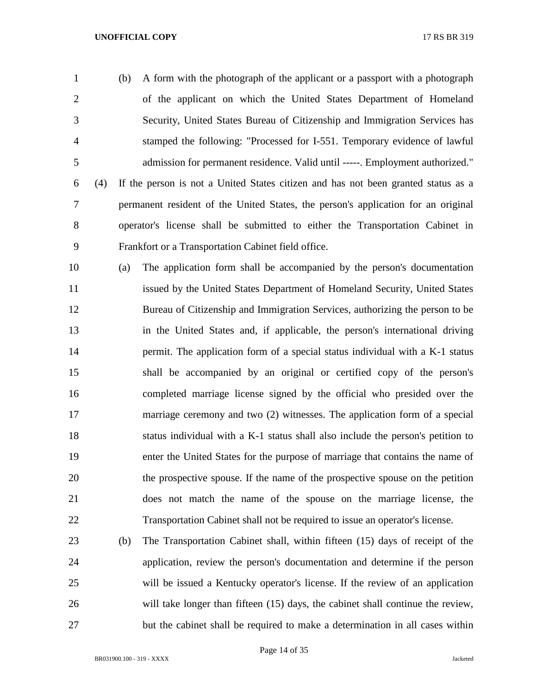(b) A form with the photograph of the applicant or a passport with a photograph of the applicant on which the United States Department of Homeland Security, United States Bureau of Citizenship and Immigration Services has stamped the following: "Processed for I-551. Temporary evidence of lawful admission for permanent residence. Valid until -----. Employment authorized." (4) If the person is not a United States citizen and has not been granted status as a permanent resident of the United States, the person's application for an original operator's license shall be submitted to either the Transportation Cabinet in Frankfort or a Transportation Cabinet field office.

 (a) The application form shall be accompanied by the person's documentation 11 issued by the United States Department of Homeland Security, United States Bureau of Citizenship and Immigration Services, authorizing the person to be in the United States and, if applicable, the person's international driving permit. The application form of a special status individual with a K-1 status shall be accompanied by an original or certified copy of the person's completed marriage license signed by the official who presided over the marriage ceremony and two (2) witnesses. The application form of a special status individual with a K-1 status shall also include the person's petition to enter the United States for the purpose of marriage that contains the name of the prospective spouse. If the name of the prospective spouse on the petition does not match the name of the spouse on the marriage license, the Transportation Cabinet shall not be required to issue an operator's license.

 (b) The Transportation Cabinet shall, within fifteen (15) days of receipt of the application, review the person's documentation and determine if the person will be issued a Kentucky operator's license. If the review of an application will take longer than fifteen (15) days, the cabinet shall continue the review, but the cabinet shall be required to make a determination in all cases within

Page 14 of 35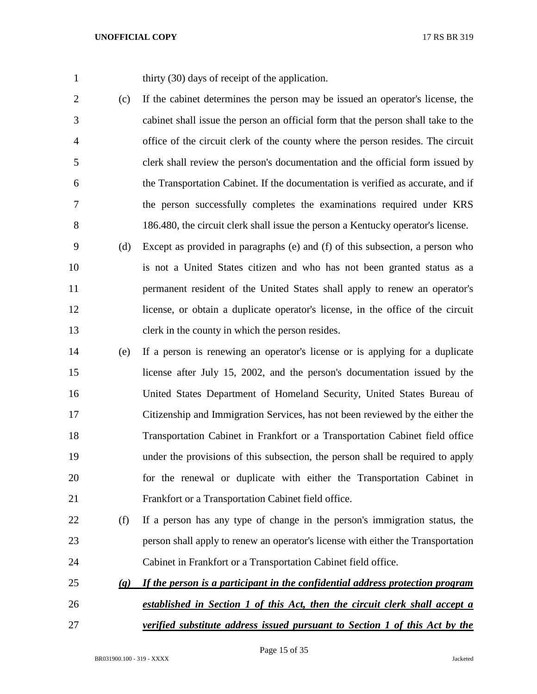1 thirty (30) days of receipt of the application.

 (c) If the cabinet determines the person may be issued an operator's license, the cabinet shall issue the person an official form that the person shall take to the office of the circuit clerk of the county where the person resides. The circuit clerk shall review the person's documentation and the official form issued by the Transportation Cabinet. If the documentation is verified as accurate, and if the person successfully completes the examinations required under KRS 186.480, the circuit clerk shall issue the person a Kentucky operator's license.

 (d) Except as provided in paragraphs (e) and (f) of this subsection, a person who is not a United States citizen and who has not been granted status as a permanent resident of the United States shall apply to renew an operator's license, or obtain a duplicate operator's license, in the office of the circuit clerk in the county in which the person resides.

- (e) If a person is renewing an operator's license or is applying for a duplicate license after July 15, 2002, and the person's documentation issued by the United States Department of Homeland Security, United States Bureau of Citizenship and Immigration Services, has not been reviewed by the either the Transportation Cabinet in Frankfort or a Transportation Cabinet field office under the provisions of this subsection, the person shall be required to apply for the renewal or duplicate with either the Transportation Cabinet in Frankfort or a Transportation Cabinet field office.
- (f) If a person has any type of change in the person's immigration status, the person shall apply to renew an operator's license with either the Transportation Cabinet in Frankfort or a Transportation Cabinet field office.
- *(g) If the person is a participant in the confidential address protection program established in Section 1 of this Act, then the circuit clerk shall accept a*
- *verified substitute address issued pursuant to Section 1 of this Act by the*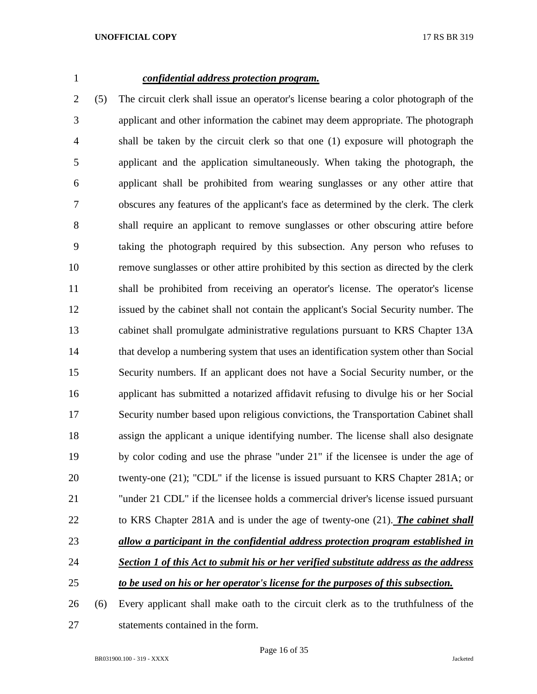# *confidential address protection program.*

 (5) The circuit clerk shall issue an operator's license bearing a color photograph of the applicant and other information the cabinet may deem appropriate. The photograph shall be taken by the circuit clerk so that one (1) exposure will photograph the applicant and the application simultaneously. When taking the photograph, the applicant shall be prohibited from wearing sunglasses or any other attire that obscures any features of the applicant's face as determined by the clerk. The clerk shall require an applicant to remove sunglasses or other obscuring attire before taking the photograph required by this subsection. Any person who refuses to remove sunglasses or other attire prohibited by this section as directed by the clerk shall be prohibited from receiving an operator's license. The operator's license issued by the cabinet shall not contain the applicant's Social Security number. The cabinet shall promulgate administrative regulations pursuant to KRS Chapter 13A that develop a numbering system that uses an identification system other than Social Security numbers. If an applicant does not have a Social Security number, or the applicant has submitted a notarized affidavit refusing to divulge his or her Social Security number based upon religious convictions, the Transportation Cabinet shall assign the applicant a unique identifying number. The license shall also designate by color coding and use the phrase "under 21" if the licensee is under the age of twenty-one (21); "CDL" if the license is issued pursuant to KRS Chapter 281A; or "under 21 CDL" if the licensee holds a commercial driver's license issued pursuant to KRS Chapter 281A and is under the age of twenty-one (21). *The cabinet shall allow a participant in the confidential address protection program established in Section 1 of this Act to submit his or her verified substitute address as the address to be used on his or her operator's license for the purposes of this subsection.* (6) Every applicant shall make oath to the circuit clerk as to the truthfulness of the

statements contained in the form.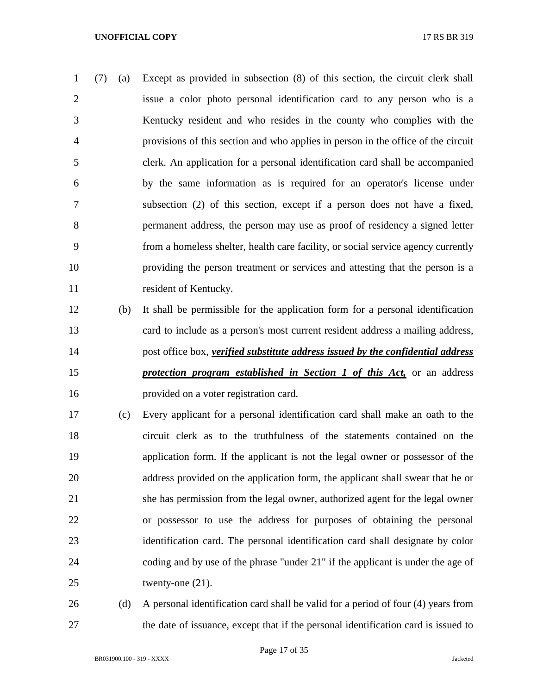(7) (a) Except as provided in subsection (8) of this section, the circuit clerk shall issue a color photo personal identification card to any person who is a Kentucky resident and who resides in the county who complies with the provisions of this section and who applies in person in the office of the circuit clerk. An application for a personal identification card shall be accompanied by the same information as is required for an operator's license under subsection (2) of this section, except if a person does not have a fixed, permanent address, the person may use as proof of residency a signed letter from a homeless shelter, health care facility, or social service agency currently providing the person treatment or services and attesting that the person is a 11 resident of Kentucky.

- (b) It shall be permissible for the application form for a personal identification card to include as a person's most current resident address a mailing address, post office box, *verified substitute address issued by the confidential address protection program established in Section 1 of this Act,* or an address provided on a voter registration card.
- (c) Every applicant for a personal identification card shall make an oath to the circuit clerk as to the truthfulness of the statements contained on the application form. If the applicant is not the legal owner or possessor of the 20 address provided on the application form, the applicant shall swear that he or she has permission from the legal owner, authorized agent for the legal owner or possessor to use the address for purposes of obtaining the personal identification card. The personal identification card shall designate by color coding and by use of the phrase "under 21" if the applicant is under the age of 25 twenty-one (21).
- (d) A personal identification card shall be valid for a period of four (4) years from the date of issuance, except that if the personal identification card is issued to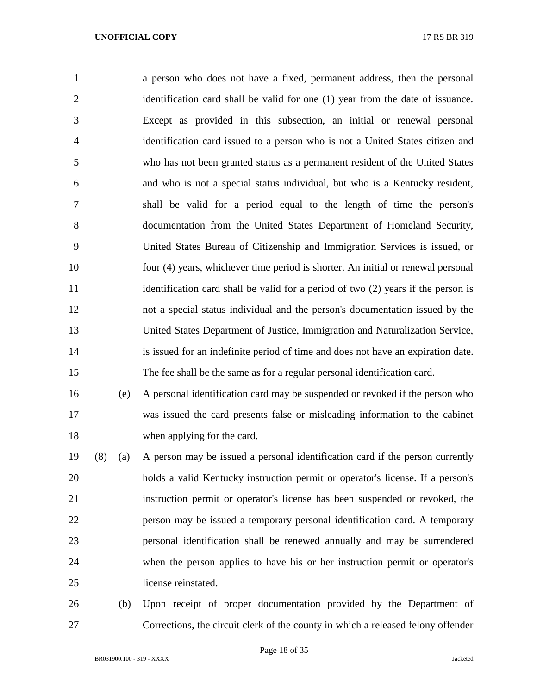a person who does not have a fixed, permanent address, then the personal identification card shall be valid for one (1) year from the date of issuance. Except as provided in this subsection, an initial or renewal personal identification card issued to a person who is not a United States citizen and who has not been granted status as a permanent resident of the United States and who is not a special status individual, but who is a Kentucky resident, shall be valid for a period equal to the length of time the person's documentation from the United States Department of Homeland Security, United States Bureau of Citizenship and Immigration Services is issued, or four (4) years, whichever time period is shorter. An initial or renewal personal 11 identification card shall be valid for a period of two (2) years if the person is not a special status individual and the person's documentation issued by the United States Department of Justice, Immigration and Naturalization Service, is issued for an indefinite period of time and does not have an expiration date. The fee shall be the same as for a regular personal identification card.

 (e) A personal identification card may be suspended or revoked if the person who was issued the card presents false or misleading information to the cabinet when applying for the card.

 (8) (a) A person may be issued a personal identification card if the person currently holds a valid Kentucky instruction permit or operator's license. If a person's instruction permit or operator's license has been suspended or revoked, the person may be issued a temporary personal identification card. A temporary personal identification shall be renewed annually and may be surrendered when the person applies to have his or her instruction permit or operator's license reinstated.

 (b) Upon receipt of proper documentation provided by the Department of Corrections, the circuit clerk of the county in which a released felony offender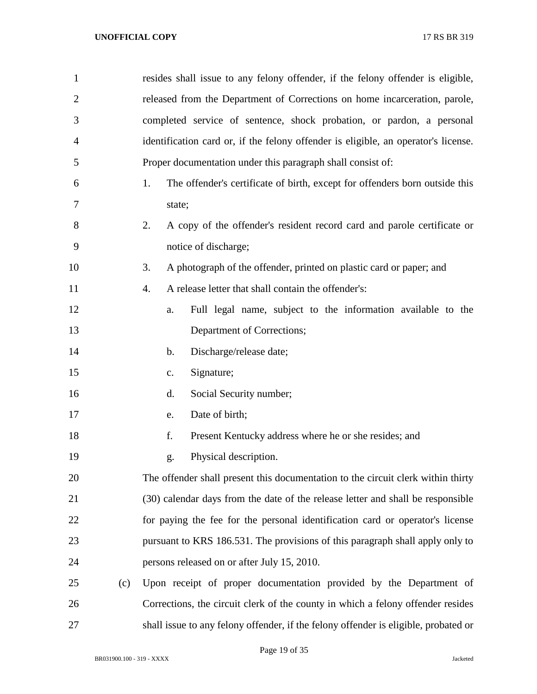| $\mathbf{1}$   |     | resides shall issue to any felony offender, if the felony offender is eligible,     |
|----------------|-----|-------------------------------------------------------------------------------------|
| $\overline{2}$ |     | released from the Department of Corrections on home incarceration, parole,          |
| 3              |     | completed service of sentence, shock probation, or pardon, a personal               |
| $\overline{4}$ |     | identification card or, if the felony offender is eligible, an operator's license.  |
| 5              |     | Proper documentation under this paragraph shall consist of:                         |
| 6              |     | The offender's certificate of birth, except for offenders born outside this<br>1.   |
| 7              |     | state;                                                                              |
| 8              |     | A copy of the offender's resident record card and parole certificate or<br>2.       |
| 9              |     | notice of discharge;                                                                |
| 10             |     | A photograph of the offender, printed on plastic card or paper; and<br>3.           |
| 11             |     | A release letter that shall contain the offender's:<br>4.                           |
| 12             |     | Full legal name, subject to the information available to the<br>a.                  |
| 13             |     | Department of Corrections;                                                          |
| 14             |     | Discharge/release date;<br>$\mathbf b$ .                                            |
| 15             |     | Signature;<br>$\mathbf{c}$ .                                                        |
| 16             |     | Social Security number;<br>d.                                                       |
| 17             |     | Date of birth;<br>e.                                                                |
| 18             |     | f.<br>Present Kentucky address where he or she resides; and                         |
| 19             |     | Physical description.<br>g.                                                         |
| 20             |     | The offender shall present this documentation to the circuit clerk within thirty    |
| 21             |     | (30) calendar days from the date of the release letter and shall be responsible     |
| 22             |     | for paying the fee for the personal identification card or operator's license       |
| 23             |     | pursuant to KRS 186.531. The provisions of this paragraph shall apply only to       |
| 24             |     | persons released on or after July 15, 2010.                                         |
| 25             | (c) | Upon receipt of proper documentation provided by the Department of                  |
| 26             |     | Corrections, the circuit clerk of the county in which a felony offender resides     |
| 27             |     | shall issue to any felony offender, if the felony offender is eligible, probated or |

Page 19 of 35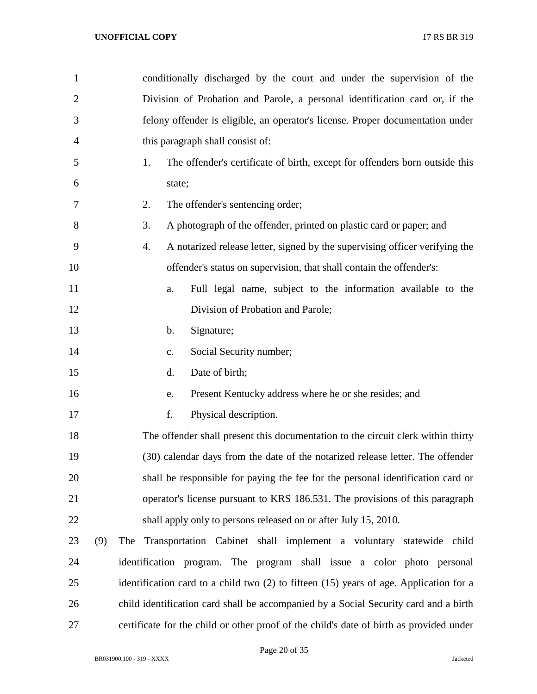| $\mathbf{1}$   |     | conditionally discharged by the court and under the supervision of the                  |
|----------------|-----|-----------------------------------------------------------------------------------------|
| $\overline{2}$ |     | Division of Probation and Parole, a personal identification card or, if the             |
| 3              |     | felony offender is eligible, an operator's license. Proper documentation under          |
| $\overline{4}$ |     | this paragraph shall consist of:                                                        |
| 5              |     | 1.<br>The offender's certificate of birth, except for offenders born outside this       |
| 6              |     | state;                                                                                  |
| 7              |     | 2.<br>The offender's sentencing order;                                                  |
| 8              |     | 3.<br>A photograph of the offender, printed on plastic card or paper; and               |
| 9              |     | A notarized release letter, signed by the supervising officer verifying the<br>4.       |
| 10             |     | offender's status on supervision, that shall contain the offender's:                    |
| 11             |     | Full legal name, subject to the information available to the<br>a.                      |
| 12             |     | Division of Probation and Parole;                                                       |
| 13             |     | Signature;<br>$\mathbf b$ .                                                             |
| 14             |     | Social Security number;<br>c.                                                           |
| 15             |     | Date of birth;<br>d.                                                                    |
| 16             |     | Present Kentucky address where he or she resides; and<br>e.                             |
| 17             |     | f.<br>Physical description.                                                             |
| 18             |     | The offender shall present this documentation to the circuit clerk within thirty        |
| 19             |     | (30) calendar days from the date of the notarized release letter. The offender          |
| 20             |     | shall be responsible for paying the fee for the personal identification card or         |
| 21             |     | operator's license pursuant to KRS 186.531. The provisions of this paragraph            |
| 22             |     | shall apply only to persons released on or after July 15, 2010.                         |
| 23             | (9) | The Transportation Cabinet shall implement a voluntary statewide child                  |
| 24             |     | identification program. The program shall issue a color photo personal                  |
| 25             |     | identification card to a child two (2) to fifteen (15) years of age. Application for a  |
| 26             |     | child identification card shall be accompanied by a Social Security card and a birth    |
| 27             |     | certificate for the child or other proof of the child's date of birth as provided under |

Page 20 of 35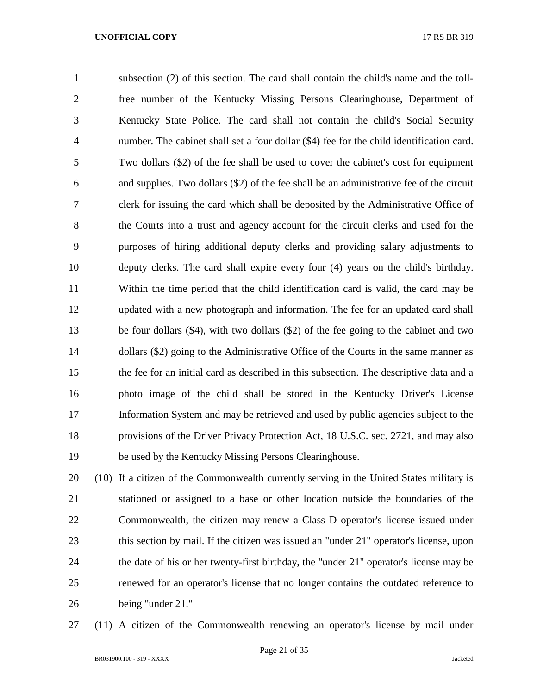subsection (2) of this section. The card shall contain the child's name and the toll- free number of the Kentucky Missing Persons Clearinghouse, Department of Kentucky State Police. The card shall not contain the child's Social Security number. The cabinet shall set a four dollar (\$4) fee for the child identification card. Two dollars (\$2) of the fee shall be used to cover the cabinet's cost for equipment and supplies. Two dollars (\$2) of the fee shall be an administrative fee of the circuit clerk for issuing the card which shall be deposited by the Administrative Office of the Courts into a trust and agency account for the circuit clerks and used for the purposes of hiring additional deputy clerks and providing salary adjustments to deputy clerks. The card shall expire every four (4) years on the child's birthday. Within the time period that the child identification card is valid, the card may be updated with a new photograph and information. The fee for an updated card shall be four dollars (\$4), with two dollars (\$2) of the fee going to the cabinet and two dollars (\$2) going to the Administrative Office of the Courts in the same manner as the fee for an initial card as described in this subsection. The descriptive data and a photo image of the child shall be stored in the Kentucky Driver's License Information System and may be retrieved and used by public agencies subject to the provisions of the Driver Privacy Protection Act, 18 U.S.C. sec. 2721, and may also be used by the Kentucky Missing Persons Clearinghouse.

 (10) If a citizen of the Commonwealth currently serving in the United States military is stationed or assigned to a base or other location outside the boundaries of the Commonwealth, the citizen may renew a Class D operator's license issued under this section by mail. If the citizen was issued an "under 21" operator's license, upon the date of his or her twenty-first birthday, the "under 21" operator's license may be renewed for an operator's license that no longer contains the outdated reference to being "under 21."

(11) A citizen of the Commonwealth renewing an operator's license by mail under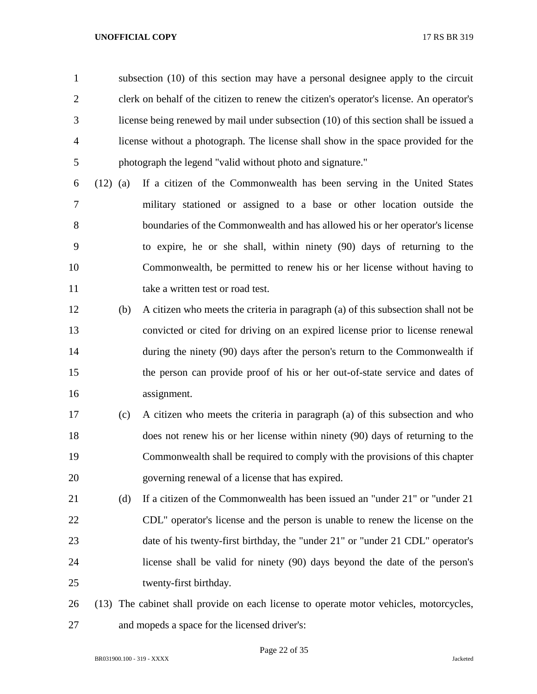subsection (10) of this section may have a personal designee apply to the circuit clerk on behalf of the citizen to renew the citizen's operator's license. An operator's license being renewed by mail under subsection (10) of this section shall be issued a license without a photograph. The license shall show in the space provided for the photograph the legend "valid without photo and signature."

- (12) (a) If a citizen of the Commonwealth has been serving in the United States military stationed or assigned to a base or other location outside the boundaries of the Commonwealth and has allowed his or her operator's license to expire, he or she shall, within ninety (90) days of returning to the Commonwealth, be permitted to renew his or her license without having to 11 take a written test or road test.
- (b) A citizen who meets the criteria in paragraph (a) of this subsection shall not be convicted or cited for driving on an expired license prior to license renewal 14 during the ninety (90) days after the person's return to the Commonwealth if the person can provide proof of his or her out-of-state service and dates of assignment.
- (c) A citizen who meets the criteria in paragraph (a) of this subsection and who does not renew his or her license within ninety (90) days of returning to the Commonwealth shall be required to comply with the provisions of this chapter governing renewal of a license that has expired.
- (d) If a citizen of the Commonwealth has been issued an "under 21" or "under 21 CDL" operator's license and the person is unable to renew the license on the 23 date of his twenty-first birthday, the "under 21" or "under 21 CDL" operator's license shall be valid for ninety (90) days beyond the date of the person's twenty-first birthday.
- (13) The cabinet shall provide on each license to operate motor vehicles, motorcycles, and mopeds a space for the licensed driver's: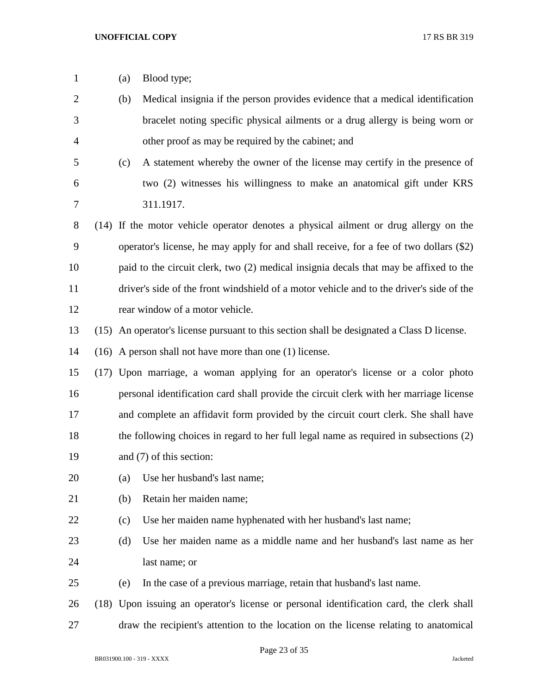| $\mathbf{1}$   | (a) | Blood type;                                                                                |
|----------------|-----|--------------------------------------------------------------------------------------------|
| $\overline{2}$ | (b) | Medical insignia if the person provides evidence that a medical identification             |
| 3              |     | bracelet noting specific physical ailments or a drug allergy is being worn or              |
| $\overline{4}$ |     | other proof as may be required by the cabinet; and                                         |
| 5              | (c) | A statement whereby the owner of the license may certify in the presence of                |
| 6              |     | two (2) witnesses his willingness to make an anatomical gift under KRS                     |
| 7              |     | 311.1917.                                                                                  |
| 8              |     | (14) If the motor vehicle operator denotes a physical ailment or drug allergy on the       |
| 9              |     | operator's license, he may apply for and shall receive, for a fee of two dollars (\$2)     |
| 10             |     | paid to the circuit clerk, two (2) medical insignia decals that may be affixed to the      |
| 11             |     | driver's side of the front windshield of a motor vehicle and to the driver's side of the   |
| 12             |     | rear window of a motor vehicle.                                                            |
| 13             |     | (15) An operator's license pursuant to this section shall be designated a Class D license. |
| 14             |     | $(16)$ A person shall not have more than one $(1)$ license.                                |
| 15             |     | (17) Upon marriage, a woman applying for an operator's license or a color photo            |
| 16             |     | personal identification card shall provide the circuit clerk with her marriage license     |
| 17             |     | and complete an affidavit form provided by the circuit court clerk. She shall have         |
| 18             |     | the following choices in regard to her full legal name as required in subsections (2)      |
| 19             |     | and (7) of this section:                                                                   |
| 20             | (a) | Use her husband's last name;                                                               |
| 21             | (b) | Retain her maiden name;                                                                    |
| 22             | (c) | Use her maiden name hyphenated with her husband's last name;                               |
| 23             | (d) | Use her maiden name as a middle name and her husband's last name as her                    |
| 24             |     | last name; or                                                                              |
| 25             | (e) | In the case of a previous marriage, retain that husband's last name.                       |
| 26             |     | (18) Upon issuing an operator's license or personal identification card, the clerk shall   |
| 27             |     | draw the recipient's attention to the location on the license relating to anatomical       |

Page 23 of 35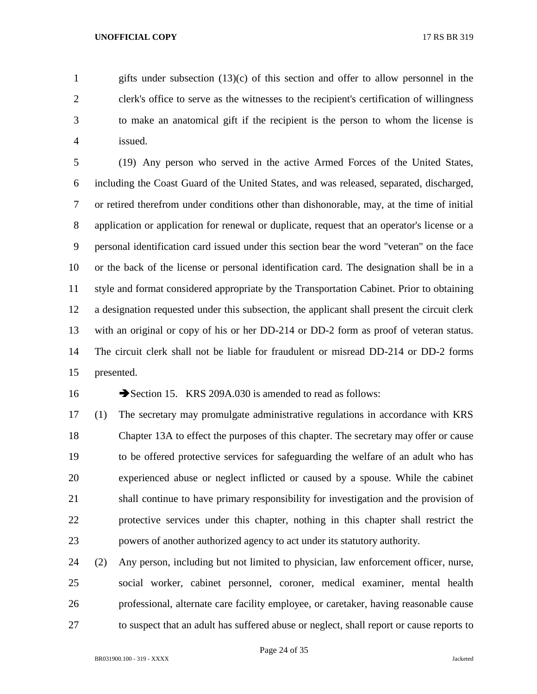gifts under subsection (13)(c) of this section and offer to allow personnel in the clerk's office to serve as the witnesses to the recipient's certification of willingness to make an anatomical gift if the recipient is the person to whom the license is issued.

 (19) Any person who served in the active Armed Forces of the United States, including the Coast Guard of the United States, and was released, separated, discharged, or retired therefrom under conditions other than dishonorable, may, at the time of initial application or application for renewal or duplicate, request that an operator's license or a personal identification card issued under this section bear the word "veteran" on the face or the back of the license or personal identification card. The designation shall be in a style and format considered appropriate by the Transportation Cabinet. Prior to obtaining a designation requested under this subsection, the applicant shall present the circuit clerk with an original or copy of his or her DD-214 or DD-2 form as proof of veteran status. The circuit clerk shall not be liable for fraudulent or misread DD-214 or DD-2 forms presented.

16 Section 15. KRS 209A.030 is amended to read as follows:

 (1) The secretary may promulgate administrative regulations in accordance with KRS Chapter 13A to effect the purposes of this chapter. The secretary may offer or cause to be offered protective services for safeguarding the welfare of an adult who has experienced abuse or neglect inflicted or caused by a spouse. While the cabinet shall continue to have primary responsibility for investigation and the provision of protective services under this chapter, nothing in this chapter shall restrict the powers of another authorized agency to act under its statutory authority.

 (2) Any person, including but not limited to physician, law enforcement officer, nurse, social worker, cabinet personnel, coroner, medical examiner, mental health professional, alternate care facility employee, or caretaker, having reasonable cause to suspect that an adult has suffered abuse or neglect, shall report or cause reports to

Page 24 of 35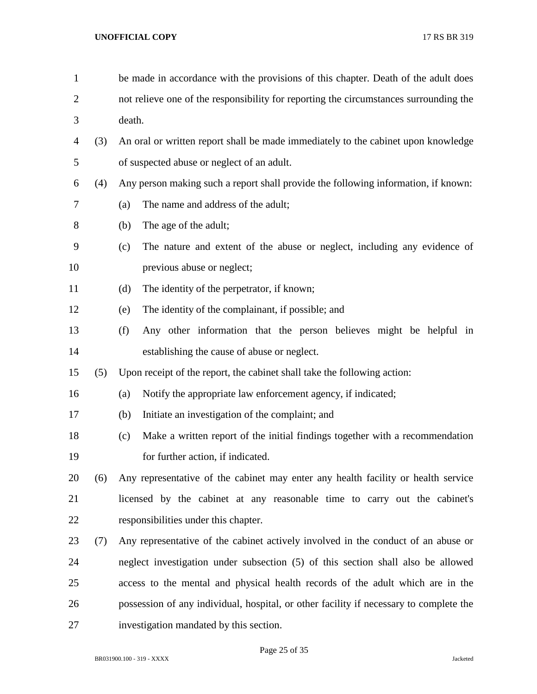| $\mathbf{1}$   |     | be made in accordance with the provisions of this chapter. Death of the adult does     |  |  |
|----------------|-----|----------------------------------------------------------------------------------------|--|--|
| $\overline{2}$ |     | not relieve one of the responsibility for reporting the circumstances surrounding the  |  |  |
| 3              |     | death.                                                                                 |  |  |
| 4              | (3) | An oral or written report shall be made immediately to the cabinet upon knowledge      |  |  |
| 5              |     | of suspected abuse or neglect of an adult.                                             |  |  |
| 6              | (4) | Any person making such a report shall provide the following information, if known:     |  |  |
| 7              |     | The name and address of the adult;<br>(a)                                              |  |  |
| 8              |     | The age of the adult;<br>(b)                                                           |  |  |
| 9              |     | The nature and extent of the abuse or neglect, including any evidence of<br>(c)        |  |  |
| 10             |     | previous abuse or neglect;                                                             |  |  |
| 11             |     | (d)<br>The identity of the perpetrator, if known;                                      |  |  |
| 12             |     | The identity of the complainant, if possible; and<br>(e)                               |  |  |
| 13             |     | (f)<br>Any other information that the person believes might be helpful in              |  |  |
| 14             |     | establishing the cause of abuse or neglect.                                            |  |  |
| 15             | (5) | Upon receipt of the report, the cabinet shall take the following action:               |  |  |
| 16             |     | Notify the appropriate law enforcement agency, if indicated;<br>(a)                    |  |  |
| 17             |     | Initiate an investigation of the complaint; and<br>(b)                                 |  |  |
| 18             |     | Make a written report of the initial findings together with a recommendation<br>(c)    |  |  |
| 19             |     | for further action, if indicated.                                                      |  |  |
| 20             | (6) | Any representative of the cabinet may enter any health facility or health service      |  |  |
| 21             |     | licensed by the cabinet at any reasonable time to carry out the cabinet's              |  |  |
| 22             |     | responsibilities under this chapter.                                                   |  |  |
| 23             | (7) | Any representative of the cabinet actively involved in the conduct of an abuse or      |  |  |
| 24             |     | neglect investigation under subsection (5) of this section shall also be allowed       |  |  |
| 25             |     | access to the mental and physical health records of the adult which are in the         |  |  |
| 26             |     | possession of any individual, hospital, or other facility if necessary to complete the |  |  |
| 27             |     | investigation mandated by this section.                                                |  |  |
|                |     |                                                                                        |  |  |

Page 25 of 35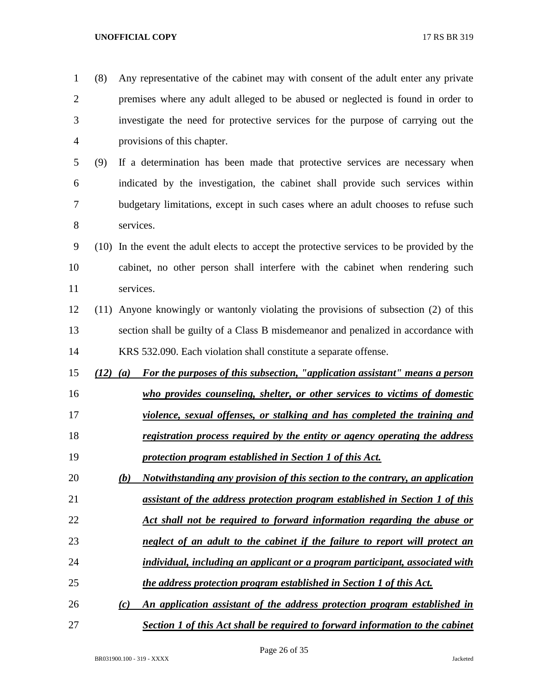| $\mathbf{1}$   | (8) | Any representative of the cabinet may with consent of the adult enter any private           |
|----------------|-----|---------------------------------------------------------------------------------------------|
| $\overline{2}$ |     | premises where any adult alleged to be abused or neglected is found in order to             |
| 3              |     | investigate the need for protective services for the purpose of carrying out the            |
| $\overline{4}$ |     | provisions of this chapter.                                                                 |
| 5              | (9) | If a determination has been made that protective services are necessary when                |
| 6              |     | indicated by the investigation, the cabinet shall provide such services within              |
| 7              |     | budgetary limitations, except in such cases where an adult chooses to refuse such           |
| 8              |     | services.                                                                                   |
| 9              |     | (10) In the event the adult elects to accept the protective services to be provided by the  |
| 10             |     | cabinet, no other person shall interfere with the cabinet when rendering such               |
| 11             |     | services.                                                                                   |
| 12             |     | (11) Anyone knowingly or wantonly violating the provisions of subsection (2) of this        |
| 13             |     | section shall be guilty of a Class B misdemeanor and penalized in accordance with           |
| 14             |     | KRS 532.090. Each violation shall constitute a separate offense.                            |
| 15             |     | For the purposes of this subsection, "application assistant" means a person<br>$(12)$ $(a)$ |
| 16             |     | who provides counseling, shelter, or other services to victims of domestic                  |
| 17             |     | violence, sexual offenses, or stalking and has completed the training and                   |
| 18             |     | registration process required by the entity or agency operating the address                 |
| 19             |     | protection program established in Section 1 of this Act.                                    |
| 20             |     | (b)<br>Notwithstanding any provision of this section to the contrary, an application        |
| 21             |     | assistant of the address protection program established in Section 1 of this                |
| 22             |     | Act shall not be required to forward information regarding the abuse or                     |
| 23             |     | neglect of an adult to the cabinet if the failure to report will protect an                 |
| 24             |     | individual, including an applicant or a program participant, associated with                |
| 25             |     | the address protection program established in Section 1 of this Act.                        |
| 26             |     | An application assistant of the address protection program established in<br>(c)            |
| 27             |     | <b>Section 1 of this Act shall be required to forward information to the cabinet</b>        |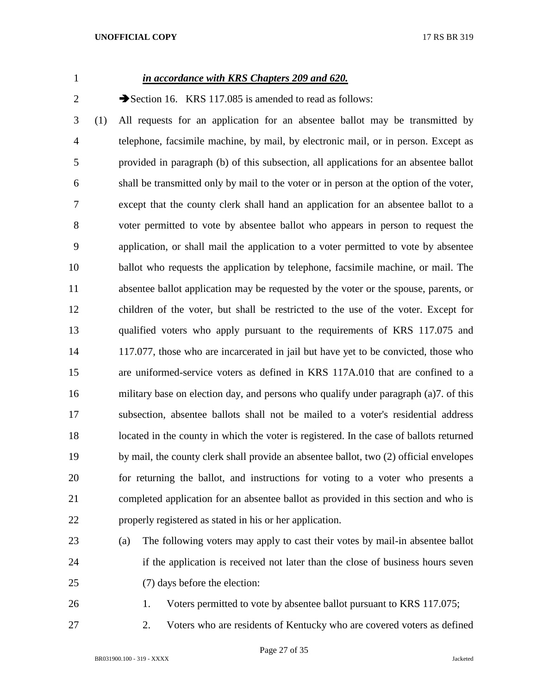# *in accordance with KRS Chapters 209 and 620.*

2 Section 16. KRS 117.085 is amended to read as follows:

 (1) All requests for an application for an absentee ballot may be transmitted by telephone, facsimile machine, by mail, by electronic mail, or in person. Except as provided in paragraph (b) of this subsection, all applications for an absentee ballot shall be transmitted only by mail to the voter or in person at the option of the voter, except that the county clerk shall hand an application for an absentee ballot to a voter permitted to vote by absentee ballot who appears in person to request the application, or shall mail the application to a voter permitted to vote by absentee ballot who requests the application by telephone, facsimile machine, or mail. The absentee ballot application may be requested by the voter or the spouse, parents, or children of the voter, but shall be restricted to the use of the voter. Except for qualified voters who apply pursuant to the requirements of KRS 117.075 and 14 117.077, those who are incarcerated in jail but have yet to be convicted, those who are uniformed-service voters as defined in KRS 117A.010 that are confined to a military base on election day, and persons who qualify under paragraph (a)7. of this subsection, absentee ballots shall not be mailed to a voter's residential address 18 located in the county in which the voter is registered. In the case of ballots returned by mail, the county clerk shall provide an absentee ballot, two (2) official envelopes for returning the ballot, and instructions for voting to a voter who presents a completed application for an absentee ballot as provided in this section and who is properly registered as stated in his or her application.

- (a) The following voters may apply to cast their votes by mail-in absentee ballot if the application is received not later than the close of business hours seven (7) days before the election:
- 

1. Voters permitted to vote by absentee ballot pursuant to KRS 117.075;

2. Voters who are residents of Kentucky who are covered voters as defined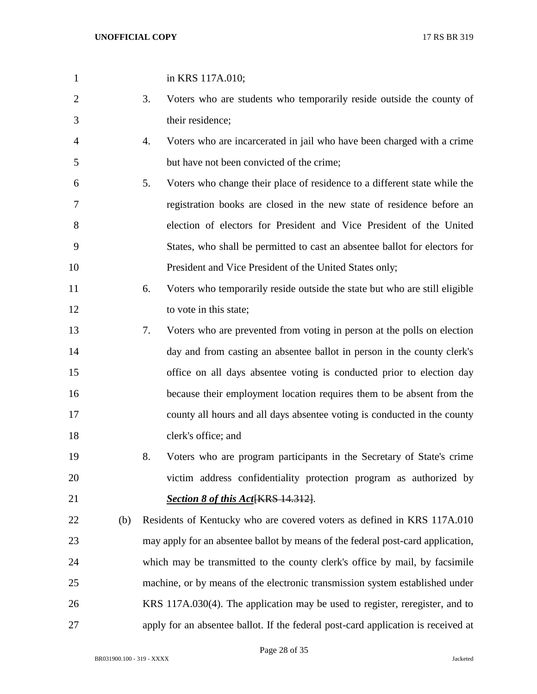| $\mathbf{1}$   |     |    | in KRS 117A.010;                                                                  |
|----------------|-----|----|-----------------------------------------------------------------------------------|
| $\overline{2}$ |     | 3. | Voters who are students who temporarily reside outside the county of              |
| 3              |     |    | their residence;                                                                  |
| 4              |     | 4. | Voters who are incarcerated in jail who have been charged with a crime            |
| 5              |     |    | but have not been convicted of the crime;                                         |
| 6              |     | 5. | Voters who change their place of residence to a different state while the         |
| 7              |     |    | registration books are closed in the new state of residence before an             |
| 8              |     |    | election of electors for President and Vice President of the United               |
| 9              |     |    | States, who shall be permitted to cast an absentee ballot for electors for        |
| 10             |     |    | President and Vice President of the United States only;                           |
| 11             |     | 6. | Voters who temporarily reside outside the state but who are still eligible        |
| 12             |     |    | to vote in this state;                                                            |
| 13             |     | 7. | Voters who are prevented from voting in person at the polls on election           |
| 14             |     |    | day and from casting an absentee ballot in person in the county clerk's           |
| 15             |     |    | office on all days absentee voting is conducted prior to election day             |
| 16             |     |    | because their employment location requires them to be absent from the             |
| 17             |     |    | county all hours and all days absentee voting is conducted in the county          |
| 18             |     |    | clerk's office; and                                                               |
| 19             |     | 8. | Voters who are program participants in the Secretary of State's crime             |
| 20             |     |    | victim address confidentiality protection program as authorized by                |
| 21             |     |    | <b>Section 8 of this Act [KRS 14.312].</b>                                        |
| 22             | (b) |    | Residents of Kentucky who are covered voters as defined in KRS 117A.010           |
| 23             |     |    | may apply for an absentee ballot by means of the federal post-card application,   |
| 24             |     |    | which may be transmitted to the county clerk's office by mail, by facsimile       |
| 25             |     |    | machine, or by means of the electronic transmission system established under      |
| 26             |     |    | KRS 117A.030(4). The application may be used to register, reregister, and to      |
| 27             |     |    | apply for an absentee ballot. If the federal post-card application is received at |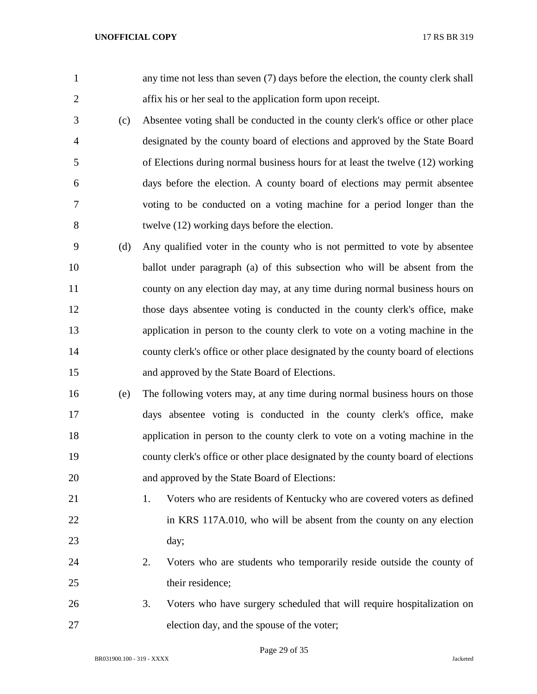| $\mathbf{1}$   |     | any time not less than seven (7) days before the election, the county clerk shall |
|----------------|-----|-----------------------------------------------------------------------------------|
| $\overline{2}$ |     | affix his or her seal to the application form upon receipt.                       |
| 3              | (c) | Absentee voting shall be conducted in the county clerk's office or other place    |
| $\overline{4}$ |     | designated by the county board of elections and approved by the State Board       |
| 5              |     | of Elections during normal business hours for at least the twelve (12) working    |
| 6              |     | days before the election. A county board of elections may permit absentee         |
| 7              |     | voting to be conducted on a voting machine for a period longer than the           |
| 8              |     | twelve (12) working days before the election.                                     |
| 9              | (d) | Any qualified voter in the county who is not permitted to vote by absentee        |
| 10             |     | ballot under paragraph (a) of this subsection who will be absent from the         |
| 11             |     | county on any election day may, at any time during normal business hours on       |
| 12             |     | those days absentee voting is conducted in the county clerk's office, make        |
| 13             |     | application in person to the county clerk to vote on a voting machine in the      |
| 14             |     | county clerk's office or other place designated by the county board of elections  |
| 15             |     | and approved by the State Board of Elections.                                     |
| 16             | (e) | The following voters may, at any time during normal business hours on those       |
| 17             |     | days absentee voting is conducted in the county clerk's office, make              |
| 18             |     | application in person to the county clerk to vote on a voting machine in the      |
| 19             |     | county clerk's office or other place designated by the county board of elections  |
| 20             |     | and approved by the State Board of Elections:                                     |
| 21             |     | Voters who are residents of Kentucky who are covered voters as defined<br>1.      |
| 22             |     | in KRS 117A.010, who will be absent from the county on any election               |
| 23             |     | day;                                                                              |
| 24             |     | Voters who are students who temporarily reside outside the county of<br>2.        |
| 25             |     | their residence;                                                                  |
| 26             |     | Voters who have surgery scheduled that will require hospitalization on<br>3.      |
| 27             |     | election day, and the spouse of the voter;                                        |

Page 29 of 35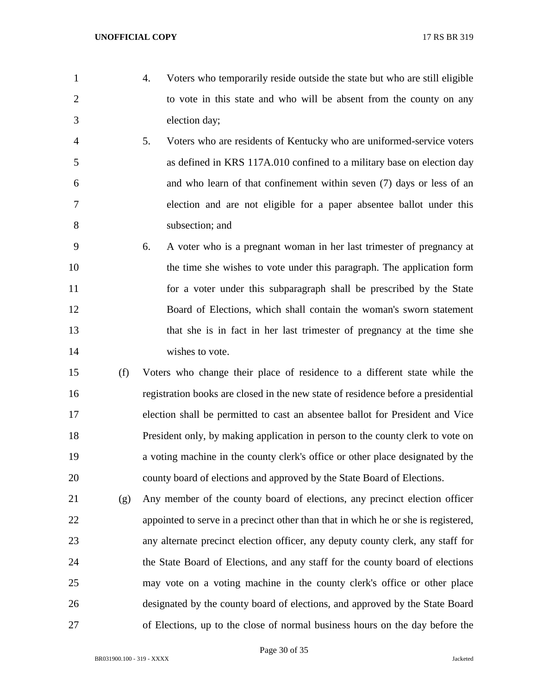- 
- 4. Voters who temporarily reside outside the state but who are still eligible 2 to vote in this state and who will be absent from the county on any election day;
- 5. Voters who are residents of Kentucky who are uniformed-service voters as defined in KRS 117A.010 confined to a military base on election day and who learn of that confinement within seven (7) days or less of an election and are not eligible for a paper absentee ballot under this subsection; and
- 6. A voter who is a pregnant woman in her last trimester of pregnancy at the time she wishes to vote under this paragraph. The application form for a voter under this subparagraph shall be prescribed by the State Board of Elections, which shall contain the woman's sworn statement that she is in fact in her last trimester of pregnancy at the time she wishes to vote.
- (f) Voters who change their place of residence to a different state while the registration books are closed in the new state of residence before a presidential election shall be permitted to cast an absentee ballot for President and Vice President only, by making application in person to the county clerk to vote on a voting machine in the county clerk's office or other place designated by the county board of elections and approved by the State Board of Elections.
- (g) Any member of the county board of elections, any precinct election officer appointed to serve in a precinct other than that in which he or she is registered, any alternate precinct election officer, any deputy county clerk, any staff for the State Board of Elections, and any staff for the county board of elections may vote on a voting machine in the county clerk's office or other place designated by the county board of elections, and approved by the State Board of Elections, up to the close of normal business hours on the day before the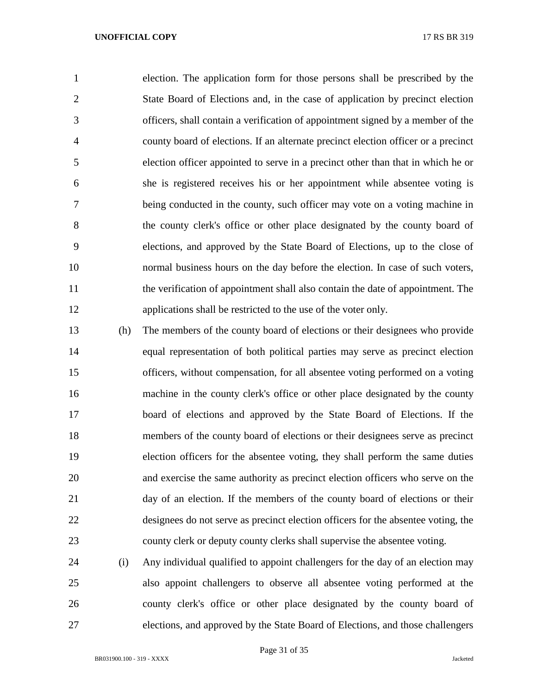election. The application form for those persons shall be prescribed by the State Board of Elections and, in the case of application by precinct election officers, shall contain a verification of appointment signed by a member of the county board of elections. If an alternate precinct election officer or a precinct election officer appointed to serve in a precinct other than that in which he or she is registered receives his or her appointment while absentee voting is being conducted in the county, such officer may vote on a voting machine in the county clerk's office or other place designated by the county board of elections, and approved by the State Board of Elections, up to the close of normal business hours on the day before the election. In case of such voters, the verification of appointment shall also contain the date of appointment. The applications shall be restricted to the use of the voter only.

 (h) The members of the county board of elections or their designees who provide equal representation of both political parties may serve as precinct election officers, without compensation, for all absentee voting performed on a voting machine in the county clerk's office or other place designated by the county board of elections and approved by the State Board of Elections. If the members of the county board of elections or their designees serve as precinct election officers for the absentee voting, they shall perform the same duties and exercise the same authority as precinct election officers who serve on the day of an election. If the members of the county board of elections or their designees do not serve as precinct election officers for the absentee voting, the county clerk or deputy county clerks shall supervise the absentee voting.

 (i) Any individual qualified to appoint challengers for the day of an election may also appoint challengers to observe all absentee voting performed at the county clerk's office or other place designated by the county board of elections, and approved by the State Board of Elections, and those challengers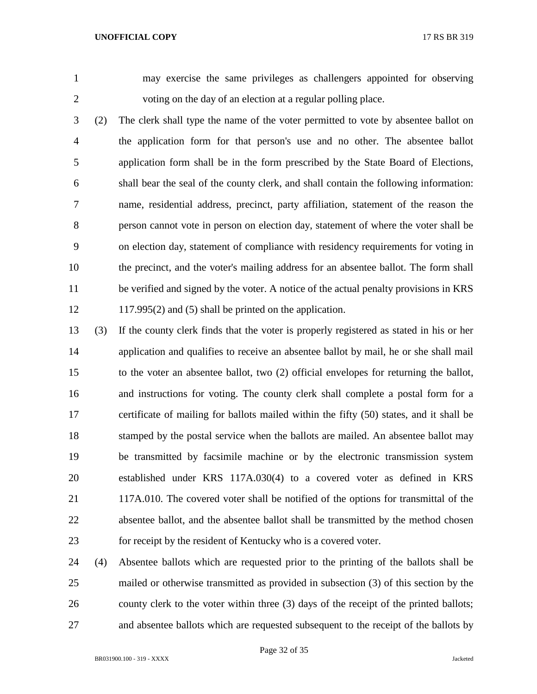may exercise the same privileges as challengers appointed for observing voting on the day of an election at a regular polling place.

- (2) The clerk shall type the name of the voter permitted to vote by absentee ballot on the application form for that person's use and no other. The absentee ballot application form shall be in the form prescribed by the State Board of Elections, shall bear the seal of the county clerk, and shall contain the following information: name, residential address, precinct, party affiliation, statement of the reason the person cannot vote in person on election day, statement of where the voter shall be on election day, statement of compliance with residency requirements for voting in the precinct, and the voter's mailing address for an absentee ballot. The form shall be verified and signed by the voter. A notice of the actual penalty provisions in KRS 117.995(2) and (5) shall be printed on the application.
- (3) If the county clerk finds that the voter is properly registered as stated in his or her application and qualifies to receive an absentee ballot by mail, he or she shall mail to the voter an absentee ballot, two (2) official envelopes for returning the ballot, and instructions for voting. The county clerk shall complete a postal form for a certificate of mailing for ballots mailed within the fifty (50) states, and it shall be stamped by the postal service when the ballots are mailed. An absentee ballot may be transmitted by facsimile machine or by the electronic transmission system established under KRS 117A.030(4) to a covered voter as defined in KRS 117A.010. The covered voter shall be notified of the options for transmittal of the absentee ballot, and the absentee ballot shall be transmitted by the method chosen for receipt by the resident of Kentucky who is a covered voter.
- (4) Absentee ballots which are requested prior to the printing of the ballots shall be mailed or otherwise transmitted as provided in subsection (3) of this section by the 26 county clerk to the voter within three (3) days of the receipt of the printed ballots; and absentee ballots which are requested subsequent to the receipt of the ballots by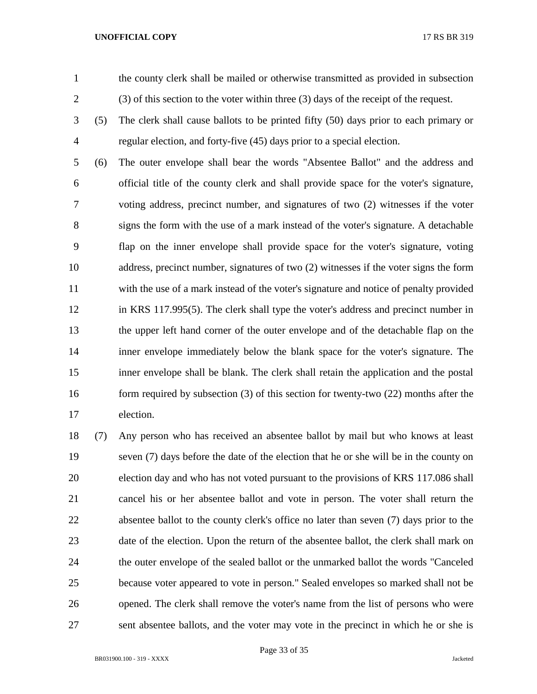the county clerk shall be mailed or otherwise transmitted as provided in subsection (3) of this section to the voter within three (3) days of the receipt of the request.

 (5) The clerk shall cause ballots to be printed fifty (50) days prior to each primary or regular election, and forty-five (45) days prior to a special election.

 (6) The outer envelope shall bear the words "Absentee Ballot" and the address and official title of the county clerk and shall provide space for the voter's signature, voting address, precinct number, and signatures of two (2) witnesses if the voter signs the form with the use of a mark instead of the voter's signature. A detachable flap on the inner envelope shall provide space for the voter's signature, voting address, precinct number, signatures of two (2) witnesses if the voter signs the form with the use of a mark instead of the voter's signature and notice of penalty provided in KRS 117.995(5). The clerk shall type the voter's address and precinct number in the upper left hand corner of the outer envelope and of the detachable flap on the inner envelope immediately below the blank space for the voter's signature. The inner envelope shall be blank. The clerk shall retain the application and the postal 16 form required by subsection (3) of this section for twenty-two (22) months after the election.

 (7) Any person who has received an absentee ballot by mail but who knows at least seven (7) days before the date of the election that he or she will be in the county on election day and who has not voted pursuant to the provisions of KRS 117.086 shall cancel his or her absentee ballot and vote in person. The voter shall return the absentee ballot to the county clerk's office no later than seven (7) days prior to the 23 date of the election. Upon the return of the absentee ballot, the clerk shall mark on the outer envelope of the sealed ballot or the unmarked ballot the words "Canceled because voter appeared to vote in person." Sealed envelopes so marked shall not be opened. The clerk shall remove the voter's name from the list of persons who were sent absentee ballots, and the voter may vote in the precinct in which he or she is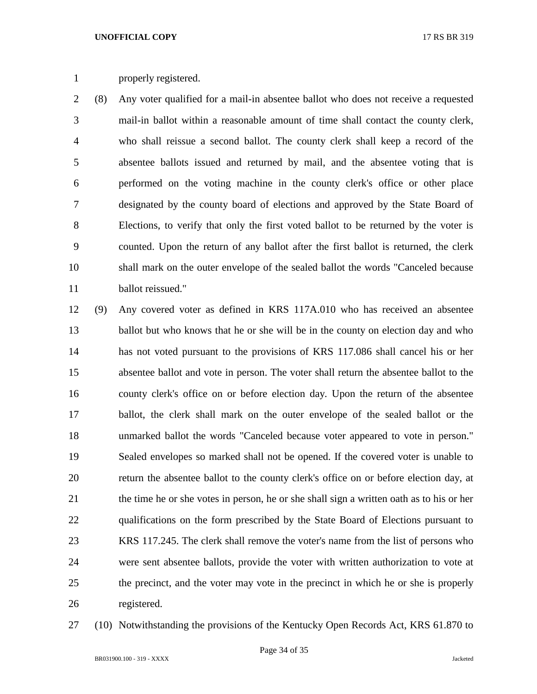# properly registered.

 (8) Any voter qualified for a mail-in absentee ballot who does not receive a requested mail-in ballot within a reasonable amount of time shall contact the county clerk, who shall reissue a second ballot. The county clerk shall keep a record of the absentee ballots issued and returned by mail, and the absentee voting that is performed on the voting machine in the county clerk's office or other place designated by the county board of elections and approved by the State Board of Elections, to verify that only the first voted ballot to be returned by the voter is counted. Upon the return of any ballot after the first ballot is returned, the clerk shall mark on the outer envelope of the sealed ballot the words "Canceled because ballot reissued."

 (9) Any covered voter as defined in KRS 117A.010 who has received an absentee ballot but who knows that he or she will be in the county on election day and who has not voted pursuant to the provisions of KRS 117.086 shall cancel his or her absentee ballot and vote in person. The voter shall return the absentee ballot to the county clerk's office on or before election day. Upon the return of the absentee ballot, the clerk shall mark on the outer envelope of the sealed ballot or the unmarked ballot the words "Canceled because voter appeared to vote in person." Sealed envelopes so marked shall not be opened. If the covered voter is unable to return the absentee ballot to the county clerk's office on or before election day, at the time he or she votes in person, he or she shall sign a written oath as to his or her qualifications on the form prescribed by the State Board of Elections pursuant to KRS 117.245. The clerk shall remove the voter's name from the list of persons who were sent absentee ballots, provide the voter with written authorization to vote at the precinct, and the voter may vote in the precinct in which he or she is properly registered.

(10) Notwithstanding the provisions of the Kentucky Open Records Act, KRS 61.870 to